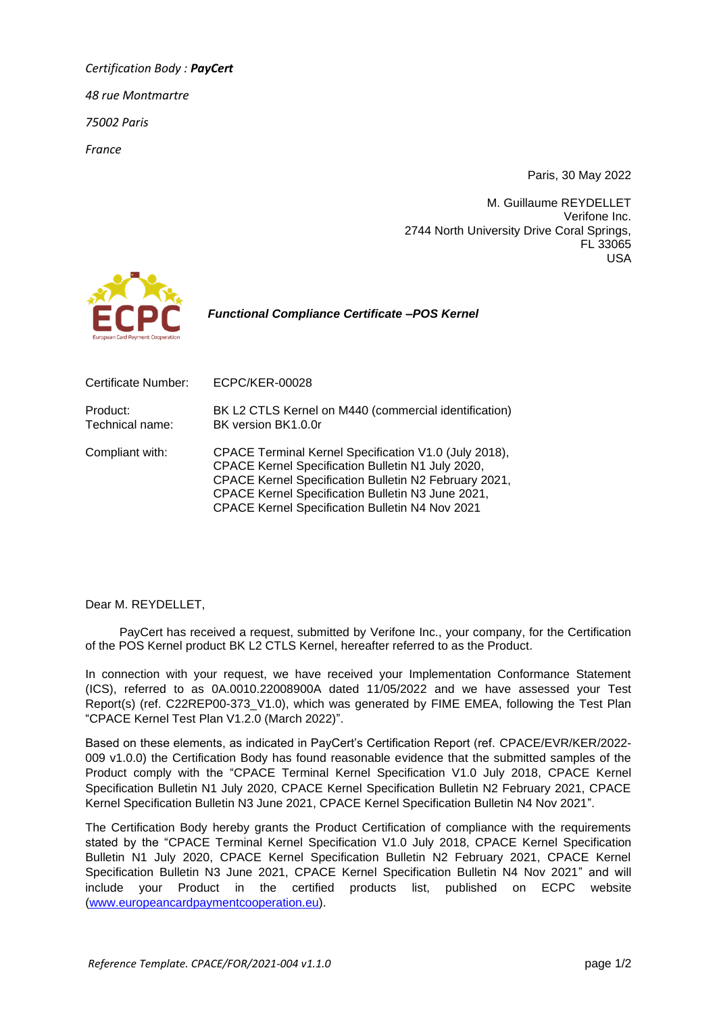*Certification Body : PayCert 48 rue Montmartre 75002 Paris France*

Paris, 30 May 2022

M. Guillaume REYDELLET Verifone Inc. 2744 North University Drive Coral Springs, FL 33065 USA



 *Functional Compliance Certificate –POS Kernel*

| Certificate Number:         | <b>ECPC/KER-00028</b>                                                                                                                                                                                                                                                              |
|-----------------------------|------------------------------------------------------------------------------------------------------------------------------------------------------------------------------------------------------------------------------------------------------------------------------------|
| Product:<br>Technical name: | BK L2 CTLS Kernel on M440 (commercial identification)<br>BK version BK1.0.0r                                                                                                                                                                                                       |
| Compliant with:             | CPACE Terminal Kernel Specification V1.0 (July 2018),<br>CPACE Kernel Specification Bulletin N1 July 2020,<br>CPACE Kernel Specification Bulletin N2 February 2021,<br>CPACE Kernel Specification Bulletin N3 June 2021,<br><b>CPACE Kernel Specification Bulletin N4 Nov 2021</b> |

Dear M. REYDELLET,

PayCert has received a request, submitted by Verifone Inc., your company, for the Certification of the POS Kernel product BK L2 CTLS Kernel, hereafter referred to as the Product.

In connection with your request, we have received your Implementation Conformance Statement (ICS), referred to as 0A.0010.22008900A dated 11/05/2022 and we have assessed your Test Report(s) (ref. C22REP00-373\_V1.0), which was generated by FIME EMEA, following the Test Plan "CPACE Kernel Test Plan V1.2.0 (March 2022)".

Based on these elements, as indicated in PayCert's Certification Report (ref. CPACE/EVR/KER/2022- 009 v1.0.0) the Certification Body has found reasonable evidence that the submitted samples of the Product comply with the "CPACE Terminal Kernel Specification V1.0 July 2018, CPACE Kernel Specification Bulletin N1 July 2020, CPACE Kernel Specification Bulletin N2 February 2021, CPACE Kernel Specification Bulletin N3 June 2021, CPACE Kernel Specification Bulletin N4 Nov 2021".

The Certification Body hereby grants the Product Certification of compliance with the requirements stated by the "CPACE Terminal Kernel Specification V1.0 July 2018, CPACE Kernel Specification Bulletin N1 July 2020, CPACE Kernel Specification Bulletin N2 February 2021, CPACE Kernel Specification Bulletin N3 June 2021, CPACE Kernel Specification Bulletin N4 Nov 2021" and will include your Product in the certified products list, published on ECPC website [\(www.europeancardpaymentcooperation.eu\)](http://www.europeancardpaymentcooperation.eu/).